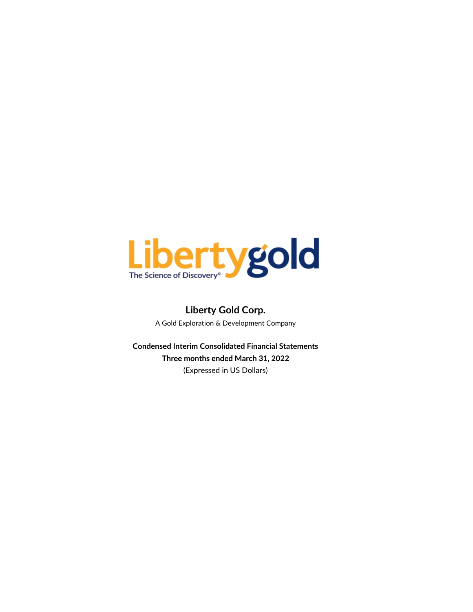

# **Liberty Gold Corp.** A Gold Exploration & Development Company

**Condensed Interim Consolidated Financial Statements Three months ended March 31, 2022** (Expressed in US Dollars)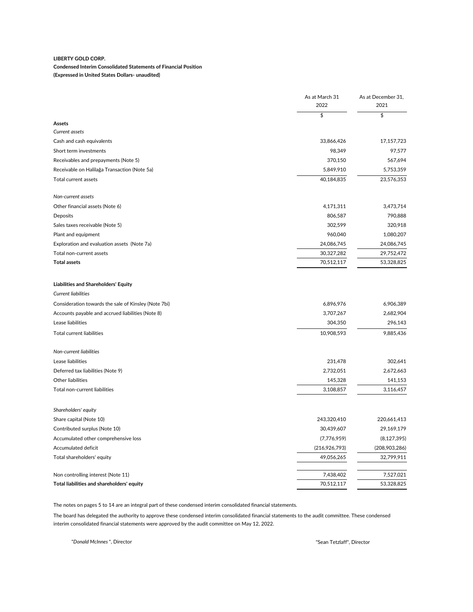#### **Condensed Interim Consolidated Statements of Financial Position (Expressed in United States Dollars- unaudited)**

|                                                      | As at March 31<br>2022 | As at December 31,<br>2021 |
|------------------------------------------------------|------------------------|----------------------------|
|                                                      | \$                     | \$                         |
| Assets                                               |                        |                            |
| Current assets                                       |                        |                            |
| Cash and cash equivalents                            | 33,866,426             | 17,157,723                 |
| Short term investments                               | 98,349                 | 97,577                     |
| Receivables and prepayments (Note 5)                 | 370,150                | 567,694                    |
| Receivable on Halilağa Transaction (Note 5a)         | 5,849,910              | 5,753,359                  |
| Total current assets                                 | 40,184,835             | 23,576,353                 |
| Non-current assets                                   |                        |                            |
| Other financial assets (Note 6)                      | 4,171,311              | 3,473,714                  |
| Deposits                                             | 806,587                | 790,888                    |
| Sales taxes receivable (Note 5)                      | 302,599                | 320,918                    |
| Plant and equipment                                  | 960,040                | 1,080,207                  |
| Exploration and evaluation assets (Note 7a)          | 24,086,745             | 24,086,745                 |
| Total non-current assets                             | 30,327,282             | 29,752,472                 |
| <b>Total assets</b>                                  | 70,512,117             | 53,328,825                 |
| <b>Liabilities and Shareholders' Equity</b>          |                        |                            |
| <b>Current liabilities</b>                           |                        |                            |
| Consideration towards the sale of Kinsley (Note 7bi) | 6,896,976              | 6,906,389                  |
| Accounts payable and accrued liabilities (Note 8)    | 3,707,267              | 2,682,904                  |
| Lease liabilities                                    | 304,350                | 296,143                    |
| Total current liabilities                            | 10,908,593             | 9,885,436                  |
| Non-current liabilities                              |                        |                            |
| Lease liabilities                                    | 231,478                | 302,641                    |
| Deferred tax liabilities (Note 9)                    | 2,732,051              | 2,672,663                  |
| Other liabilities                                    | 145,328                | 141,153                    |
| Total non-current liabilities                        | 3,108,857              | 3,116,457                  |
| Shareholders' equity                                 |                        |                            |
| Share capital (Note 10)                              | 243,320,410            | 220,661,413                |
| Contributed surplus (Note 10)                        | 30,439,607             | 29,169,179                 |
| Accumulated other comprehensive loss                 | (7,776,959)            | (8, 127, 395)              |
| Accumulated deficit                                  | (216, 926, 793)        | (208,903,286)              |
| Total shareholders' equity                           | 49,056,265             | 32,799,911                 |
| Non controlling interest (Note 11)                   | 7,438,402              | 7,527,021                  |
| Total liabilities and shareholders' equity           | 70,512,117             | 53,328,825                 |

The notes on pages 5 to 14 are an integral part of these condensed interim consolidated financial statements.

The board has delegated the authority to approve these condensed interim consolidated financial statements to the audit committee. These condensed interim consolidated financial statements were approved by the audit committee on May 12, 2022.

"*Donald McInnes* ", Director "Sean Tetzlaff", Director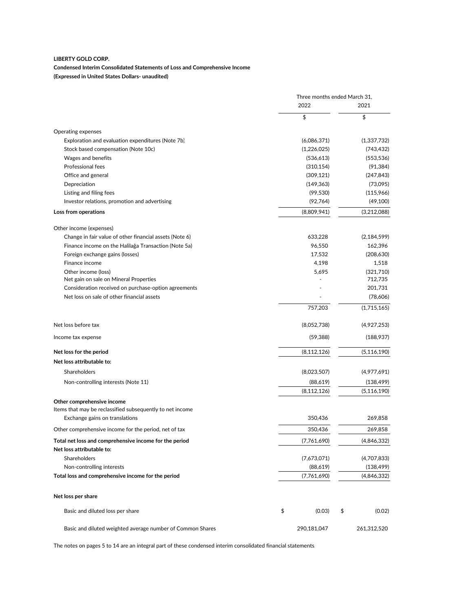#### **Condensed Interim Consolidated Statements of Loss and Comprehensive Income (Expressed in United States Dollars- unaudited)**

|                                                                                     | Three months ended March 31, |               |    |               |
|-------------------------------------------------------------------------------------|------------------------------|---------------|----|---------------|
|                                                                                     |                              | 2022          |    | 2021          |
|                                                                                     |                              | \$            |    | \$            |
| Operating expenses                                                                  |                              |               |    |               |
| Exploration and evaluation expenditures (Note 7b)                                   |                              | (6,086,371)   |    | (1,337,732)   |
| Stock based compensation (Note 10c)                                                 |                              | (1,226,025)   |    | (743,432)     |
| Wages and benefits                                                                  |                              | (536, 613)    |    | (553, 536)    |
| Professional fees                                                                   |                              | (310, 154)    |    | (91, 384)     |
| Office and general                                                                  |                              | (309, 121)    |    | (247, 843)    |
| Depreciation                                                                        |                              | (149, 363)    |    | (73,095)      |
| Listing and filing fees                                                             |                              | (99, 530)     |    | (115,966)     |
| Investor relations, promotion and advertising                                       |                              | (92, 764)     |    | (49, 100)     |
| Loss from operations                                                                |                              | (8,809,941)   |    | (3,212,088)   |
| Other income (expenses)                                                             |                              |               |    |               |
| Change in fair value of other financial assets (Note 6)                             |                              | 633,228       |    | (2, 184, 599) |
| Finance income on the Halilağa Transaction (Note 5a)                                |                              | 96,550        |    | 162,396       |
| Foreign exchange gains (losses)                                                     |                              | 17,532        |    | (208, 630)    |
| Finance income                                                                      |                              | 4,198         |    | 1,518         |
| Other income (loss)                                                                 |                              | 5,695         |    | (321,710)     |
| Net gain on sale on Mineral Properties                                              |                              |               |    | 712,735       |
| Consideration received on purchase-option agreements                                |                              |               |    | 201,731       |
| Net loss on sale of other financial assets                                          |                              |               |    | (78,606)      |
|                                                                                     |                              | 757,203       |    | (1,715,165)   |
| Net loss before tax                                                                 |                              | (8,052,738)   |    | (4,927,253)   |
| Income tax expense                                                                  |                              | (59, 388)     |    | (188,937)     |
| Net loss for the period                                                             |                              | (8, 112, 126) |    | (5, 116, 190) |
| Net loss attributable to:                                                           |                              |               |    |               |
| Shareholders                                                                        |                              | (8,023,507)   |    | (4,977,691)   |
| Non-controlling interests (Note 11)                                                 |                              | (88,619)      |    | (138, 499)    |
|                                                                                     |                              | (8, 112, 126) |    | (5, 116, 190) |
| Other comprehensive income                                                          |                              |               |    |               |
| Items that may be reclassified subsequently to net income                           |                              |               |    |               |
| Exchange gains on translations                                                      |                              | 350,436       |    | 269,858       |
| Other comprehensive income for the period, net of tax                               |                              | 350,436       |    | 269,858       |
| Total net loss and comprehensive income for the period<br>Net loss attributable to: |                              | (7,761,690)   |    | (4,846,332)   |
| Shareholders                                                                        |                              | (7,673,071)   |    | (4,707,833)   |
| Non-controlling interests                                                           |                              | (88,619)      |    | (138, 499)    |
| Total loss and comprehensive income for the period                                  |                              | (7,761,690)   |    | (4,846,332)   |
|                                                                                     |                              |               |    |               |
| Net loss per share                                                                  |                              |               |    |               |
| Basic and diluted loss per share                                                    | \$                           | (0.03)        | \$ | (0.02)        |
| Basic and diluted weighted average number of Common Shares                          |                              | 290,181,047   |    | 261,312,520   |

The notes on pages 5 to 14 are an integral part of these condensed interim consolidated financial statements.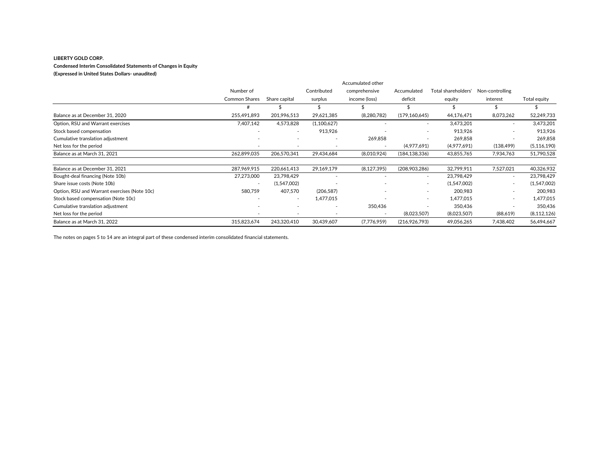#### **Condensed Interim Consolidated Statements of Changes in Equity**

#### **(Expressed in United States Dollars- unaudited)**

|                                              |                          |               |             | Accumulated other |                          |                     |                 |               |
|----------------------------------------------|--------------------------|---------------|-------------|-------------------|--------------------------|---------------------|-----------------|---------------|
|                                              | Number of                |               | Contributed | comprehensive     | Accumulated              | Total shareholders' | Non-controlling |               |
|                                              | <b>Common Shares</b>     | Share capital | surplus     | income (loss)     | deficit                  | equity              | interest        | Total equity  |
|                                              |                          |               |             |                   |                          |                     |                 |               |
| Balance as at December 31, 2020              | 255,491,893              | 201,996,513   | 29,621,385  | (8, 280, 782)     | (179, 160, 645)          | 44,176,471          | 8,073,262       | 52,249,733    |
| Option, RSU and Warrant exercises            | 7,407,142                | 4,573,828     | (1,100,627) |                   | $\overline{a}$           | 3,473,201           | $\sim$          | 3,473,201     |
| Stock based compensation                     | ٠                        |               | 913,926     |                   | $\overline{a}$           | 913,926             | $\overline{a}$  | 913.926       |
| Cumulative translation adjustment            | $\overline{\phantom{a}}$ |               |             | 269,858           |                          | 269,858             |                 | 269,858       |
| Net loss for the period                      | $\overline{\phantom{a}}$ |               |             |                   | (4,977,691)              | (4,977,691)         | (138, 499)      | (5, 116, 190) |
| Balance as at March 31, 2021                 | 262,899,035              | 206,570,341   | 29,434,684  | (8,010,924)       | (184, 138, 336)          | 43,855,765          | 7,934,763       | 51,790,528    |
| Balance as at December 31, 2021              | 287,969,915              | 220,661,413   | 29,169,179  | (8, 127, 395)     | (208,903,286)            | 32,799,911          | 7,527,021       | 40,326,932    |
| Bought-deal financing (Note 10b)             | 27,273,000               | 23,798,429    |             |                   | $\overline{\phantom{a}}$ | 23,798,429          | $\sim$          | 23,798,429    |
| Share issue costs (Note 10b)                 | $\sim$                   | (1,547,002)   |             |                   | $\overline{\phantom{a}}$ | (1,547,002)         | ٠               | (1,547,002)   |
| Option, RSU and Warrant exercises (Note 10c) | 580,759                  | 407,570       | (206, 587)  |                   | $\overline{\phantom{a}}$ | 200.983             | ٠               | 200,983       |
| Stock based compensation (Note 10c)          | $\sim$                   | $\sim$        | 1,477,015   |                   | $\overline{\phantom{a}}$ | 1.477.015           | $\sim$          | 1,477,015     |
| Cumulative translation adjustment            | $\overline{\phantom{a}}$ |               |             | 350,436           | $\overline{\phantom{a}}$ | 350,436             | ٠               | 350,436       |
| Net loss for the period                      |                          |               |             |                   | (8,023,507)              | (8,023,507)         | (88,619)        | (8, 112, 126) |
| Balance as at March 31, 2022                 | 315,823,674              | 243,320,410   | 30,439,607  | (7,776,959)       | (216,926,793)            | 49,056,265          | 7,438,402       | 56,494,667    |

The notes on pages 5 to 14 are an integral part of these condensed interim consolidated financial statements.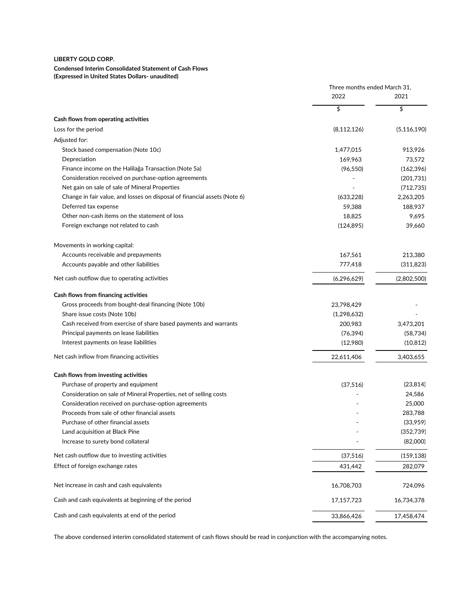# **Condensed Interim Consolidated Statement of Cash Flows**

**(Expressed in United States Dollars- unaudited)**

|                                                                           | Three months ended March 31, |               |
|---------------------------------------------------------------------------|------------------------------|---------------|
|                                                                           | 2022                         | 2021          |
|                                                                           | \$                           | \$            |
| Cash flows from operating activities                                      |                              |               |
| Loss for the period                                                       | (8, 112, 126)                | (5, 116, 190) |
| Adjusted for:                                                             |                              |               |
| Stock based compensation (Note 10c)                                       | 1,477,015                    | 913,926       |
| Depreciation                                                              | 169,963                      | 73,572        |
| Finance income on the Halilağa Transaction (Note 5a)                      | (96, 550)                    | (162, 396)    |
| Consideration received on purchase-option agreements                      |                              | (201,731)     |
| Net gain on sale of sale of Mineral Properties                            |                              | (712, 735)    |
| Change in fair value, and losses on disposal of financial assets (Note 6) | (633, 228)                   | 2,263,205     |
| Deferred tax expense                                                      | 59,388                       | 188,937       |
| Other non-cash items on the statement of loss                             | 18,825                       | 9,695         |
| Foreign exchange not related to cash                                      | (124, 895)                   | 39,660        |
| Movements in working capital:                                             |                              |               |
| Accounts receivable and prepayments                                       | 167,561                      | 213,380       |
| Accounts payable and other liabilities                                    | 777,418                      | (311, 823)    |
| Net cash outflow due to operating activities                              | (6,296,629)                  | (2,802,500)   |
| Cash flows from financing activities                                      |                              |               |
| Gross proceeds from bought-deal financing (Note 10b)                      | 23,798,429                   |               |
| Share issue costs (Note 10b)                                              | (1, 298, 632)                |               |
| Cash received from exercise of share based payments and warrants          | 200,983                      | 3,473,201     |
| Principal payments on lease liabilities                                   | (76, 394)                    | (58, 734)     |
| Interest payments on lease liabilities                                    | (12,980)                     | (10, 812)     |
| Net cash inflow from financing activities                                 | 22,611,406                   | 3,403,655     |
| Cash flows from investing activities                                      |                              |               |
| Purchase of property and equipment                                        | (37, 516)                    | (23, 814)     |
| Consideration on sale of Mineral Properties, net of selling costs         |                              | 24,586        |
| Consideration received on purchase-option agreements                      |                              | 25,000        |
| Proceeds from sale of other financial assets                              |                              | 283,788       |
| Purchase of other financial assets                                        |                              | (33,959)      |
| Land acquisition at Black Pine                                            |                              | (352, 739)    |
| Increase to surety bond collateral                                        |                              | (82,000)      |
| Net cash outflow due to investing activities                              | (37, 516)                    | (159, 138)    |
| Effect of foreign exchange rates                                          | 431,442                      | 282,079       |
| Net increase in cash and cash equivalents                                 | 16,708,703                   | 724,096       |
| Cash and cash equivalents at beginning of the period                      | 17,157,723                   | 16,734,378    |
| Cash and cash equivalents at end of the period                            | 33,866,426                   | 17,458,474    |

The above condensed interim consolidated statement of cash flows should be read in conjunction with the accompanying notes.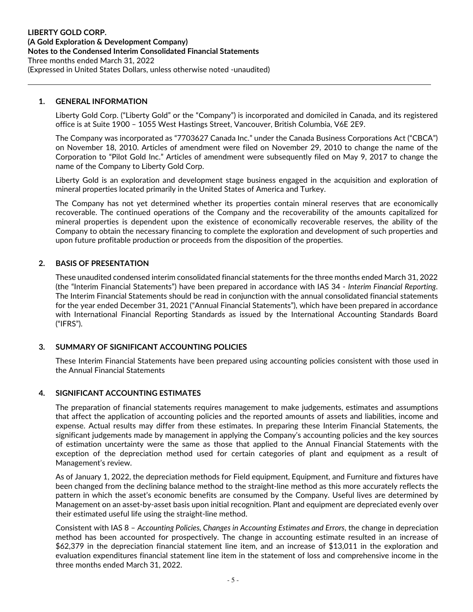### **1. GENERAL INFORMATION**

Liberty Gold Corp. ("Liberty Gold" or the "Company") is incorporated and domiciled in Canada, and its registered office is at Suite 1900 – 1055 West Hastings Street, Vancouver, British Columbia, V6E 2E9.

l.

The Company was incorporated as "7703627 Canada Inc." under the Canada Business Corporations Act ("CBCA") on November 18, 2010. Articles of amendment were filed on November 29, 2010 to change the name of the Corporation to "Pilot Gold Inc." Articles of amendment were subsequently filed on May 9, 2017 to change the name of the Company to Liberty Gold Corp.

Liberty Gold is an exploration and development stage business engaged in the acquisition and exploration of mineral properties located primarily in the United States of America and Turkey.

The Company has not yet determined whether its properties contain mineral reserves that are economically recoverable. The continued operations of the Company and the recoverability of the amounts capitalized for mineral properties is dependent upon the existence of economically recoverable reserves, the ability of the Company to obtain the necessary financing to complete the exploration and development of such properties and upon future profitable production or proceeds from the disposition of the properties.

#### **2. BASIS OF PRESENTATION**

These unaudited condensed interim consolidated financial statements for the three months ended March 31, 2022 (the "Interim Financial Statements") have been prepared in accordance with IAS 34 - *Interim Financial Reporting*. The Interim Financial Statements should be read in conjunction with the annual consolidated financial statements for the year ended December 31, 2021 ("Annual Financial Statements"), which have been prepared in accordance with International Financial Reporting Standards as issued by the International Accounting Standards Board ("IFRS").

#### **3. SUMMARY OF SIGNIFICANT ACCOUNTING POLICIES**

These Interim Financial Statements have been prepared using accounting policies consistent with those used in the Annual Financial Statements

#### **4. SIGNIFICANT ACCOUNTING ESTIMATES**

The preparation of financial statements requires management to make judgements, estimates and assumptions that affect the application of accounting policies and the reported amounts of assets and liabilities, income and expense. Actual results may differ from these estimates. In preparing these Interim Financial Statements, the significant judgements made by management in applying the Company's accounting policies and the key sources of estimation uncertainty were the same as those that applied to the Annual Financial Statements with the exception of the depreciation method used for certain categories of plant and equipment as a result of Management's review.

As of January 1, 2022, the depreciation methods for Field equipment, Equipment, and Furniture and fixtures have been changed from the declining balance method to the straight-line method as this more accurately reflects the pattern in which the asset's economic benefits are consumed by the Company. Useful lives are determined by Management on an asset-by-asset basis upon initial recognition. Plant and equipment are depreciated evenly over their estimated useful life using the straight-line method.

Consistent with IAS 8 – *Accounting Policies, Changes in Accounting Estimates and Errors*, the change in depreciation method has been accounted for prospectively. The change in accounting estimate resulted in an increase of \$62,379 in the depreciation financial statement line item, and an increase of \$13,011 in the exploration and evaluation expenditures financial statement line item in the statement of loss and comprehensive income in the three months ended March 31, 2022.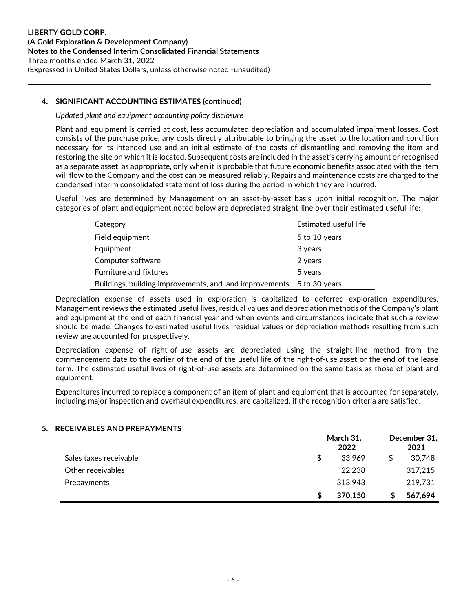# **4. SIGNIFICANT ACCOUNTING ESTIMATES (continued)**

#### *Updated plant and equipment accounting policy disclosure*

Plant and equipment is carried at cost, less accumulated depreciation and accumulated impairment losses. Cost consists of the purchase price, any costs directly attributable to bringing the asset to the location and condition necessary for its intended use and an initial estimate of the costs of dismantling and removing the item and restoring the site on which it is located. Subsequent costs are included in the asset's carrying amount or recognised as a separate asset, as appropriate, only when it is probable that future economic benefits associated with the item will flow to the Company and the cost can be measured reliably. Repairs and maintenance costs are charged to the condensed interim consolidated statement of loss during the period in which they are incurred.

l.

Useful lives are determined by Management on an asset-by-asset basis upon initial recognition. The major categories of plant and equipment noted below are depreciated straight-line over their estimated useful life:

| Category                                                              | Estimated useful life |
|-----------------------------------------------------------------------|-----------------------|
| Field equipment                                                       | 5 to 10 years         |
| Equipment                                                             | 3 years               |
| Computer software                                                     | 2 years               |
| <b>Furniture and fixtures</b>                                         | 5 years               |
| Buildings, building improvements, and land improvements 5 to 30 years |                       |

Depreciation expense of assets used in exploration is capitalized to deferred exploration expenditures. Management reviews the estimated useful lives, residual values and depreciation methods of the Company's plant and equipment at the end of each financial year and when events and circumstances indicate that such a review should be made. Changes to estimated useful lives, residual values or depreciation methods resulting from such review are accounted for prospectively.

Depreciation expense of right-of-use assets are depreciated using the straight-line method from the commencement date to the earlier of the end of the useful life of the right-of-use asset or the end of the lease term. The estimated useful lives of right-of-use assets are determined on the same basis as those of plant and equipment.

Expenditures incurred to replace a component of an item of plant and equipment that is accounted for separately, including major inspection and overhaul expenditures, are capitalized, if the recognition criteria are satisfied.

#### **5. RECEIVABLES AND PREPAYMENTS**

|                        | March 31,<br>2022 | December 31,<br>2021 |
|------------------------|-------------------|----------------------|
| Sales taxes receivable | 33,969            | 30,748               |
| Other receivables      | 22,238            | 317,215              |
| Prepayments            | 313,943           | 219,731              |
|                        | 370,150           | 567.694              |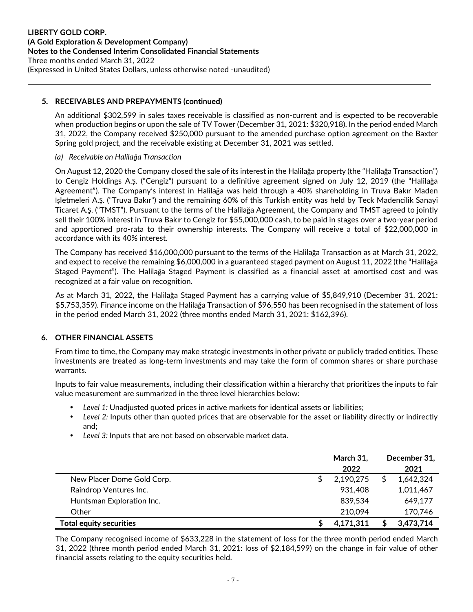### **5. RECEIVABLES AND PREPAYMENTS (continued)**

An additional \$302,599 in sales taxes receivable is classified as non-current and is expected to be recoverable when production begins or upon the sale of TV Tower (December 31, 2021: \$320,918). In the period ended March 31, 2022, the Company received \$250,000 pursuant to the amended purchase option agreement on the Baxter Spring gold project, and the receivable existing at December 31, 2021 was settled.

l.

#### *(a) Receivable on Halilağa Transaction*

On August 12, 2020 the Company closed the sale of its interest in the Halilağa property (the "Halilağa Transaction") to Cengiz Holdings A.Ș. ("Cengiz") pursuant to a definitive agreement signed on July 12, 2019 (the "Halilağa Agreement"). The Company's interest in Halilağa was held through a 40% shareholding in Truva Bakır Maden İşletmeleri A.Ş. ("Truva Bakır") and the remaining 60% of this Turkish entity was held by Teck Madencilik Sanayi Ticaret A.Ş. ("TMST"). Pursuant to the terms of the Halilağa Agreement, the Company and TMST agreed to jointly sell their 100% interest in Truva Bakır to Cengiz for \$55,000,000 cash, to be paid in stages over a two-year period and apportioned pro-rata to their ownership interests. The Company will receive a total of \$22,000,000 in accordance with its 40% interest.

The Company has received \$16,000,000 pursuant to the terms of the Halilağa Transaction as at March 31, 2022, and expect to receive the remaining \$6,000,000 in a guaranteed staged payment on August 11, 2022 (the "Halilağa Staged Payment"). The Halilağa Staged Payment is classified as a financial asset at amortised cost and was recognized at a fair value on recognition.

As at March 31, 2022, the Halilağa Staged Payment has a carrying value of \$5,849,910 (December 31, 2021: \$5,753,359). Finance income on the Halilağa Transaction of \$96,550 has been recognised in the statement of loss in the period ended March 31, 2022 (three months ended March 31, 2021: \$162,396).

#### **6. OTHER FINANCIAL ASSETS**

From time to time, the Company may make strategic investments in other private or publicly traded entities. These investments are treated as long-term investments and may take the form of common shares or share purchase warrants.

Inputs to fair value measurements, including their classification within a hierarchy that prioritizes the inputs to fair value measurement are summarized in the three level hierarchies below:

- *Level 1:* Unadjusted quoted prices in active markets for identical assets or liabilities;
- *Level 2:* Inputs other than quoted prices that are observable for the asset or liability directly or indirectly and;
- *Level 3:* Inputs that are not based on observable market data.

|                                | March 31, |   | December 31, |
|--------------------------------|-----------|---|--------------|
|                                | 2022      |   | 2021         |
| New Placer Dome Gold Corp.     | 2,190,275 | S | 1,642,324    |
| Raindrop Ventures Inc.         | 931,408   |   | 1,011,467    |
| Huntsman Exploration Inc.      | 839,534   |   | 649,177      |
| Other                          | 210,094   |   | 170,746      |
| <b>Total equity securities</b> | 4,171,311 |   | 3,473,714    |

The Company recognised income of \$633,228 in the statement of loss for the three month period ended March 31, 2022 (three month period ended March 31, 2021: loss of \$2,184,599) on the change in fair value of other financial assets relating to the equity securities held.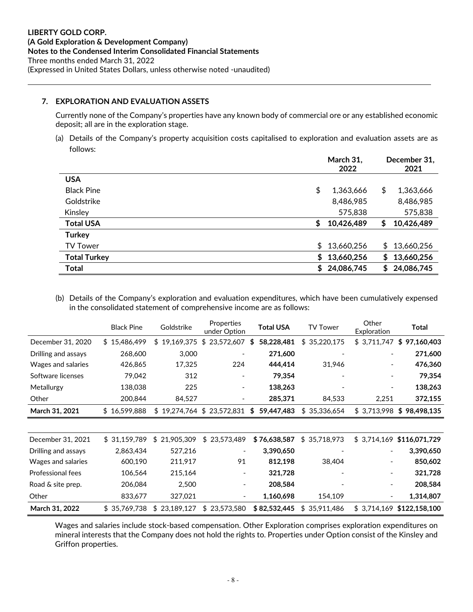### **7. EXPLORATION AND EVALUATION ASSETS**

Currently none of the Company's properties have any known body of commercial ore or any established economic deposit; all are in the exploration stage.

l.

(a) Details of the Company's property acquisition costs capitalised to exploration and evaluation assets are as follows:

|                     | March 31,<br>2022 | December 31,<br>2021 |
|---------------------|-------------------|----------------------|
| <b>USA</b>          |                   |                      |
| <b>Black Pine</b>   | \$<br>1,363,666   | \$<br>1,363,666      |
| Goldstrike          | 8,486,985         | 8,486,985            |
| Kinsley             | 575,838           | 575,838              |
| <b>Total USA</b>    | \$<br>10,426,489  | 10,426,489<br>\$     |
| <b>Turkey</b>       |                   |                      |
| <b>TV Tower</b>     | \$<br>13,660,256  | 13,660,256<br>\$     |
| <b>Total Turkey</b> | \$<br>13,660,256  | 13,660,256<br>\$     |
| <b>Total</b>        | \$<br>24,086,745  | 24,086,745<br>\$     |

(b) Details of the Company's exploration and evaluation expenditures, which have been cumulatively expensed in the consolidated statement of comprehensive income are as follows:

|                          | <b>Black Pine</b> | Goldstrike       | Properties<br>under Option | <b>Total USA</b> | <b>TV Tower</b>  | Other<br>Exploration     | Total                       |
|--------------------------|-------------------|------------------|----------------------------|------------------|------------------|--------------------------|-----------------------------|
| December 31, 2020        | \$15,486,499      | \$19,169,375     | 23,572,607<br>\$           | 58,228,481<br>S  | \$35,220,175     | \$3,711,747              | \$97,160,403                |
| Drilling and assays      | 268,600           | 3,000            |                            | 271,600          |                  |                          | 271,600                     |
| Wages and salaries       | 426,865           | 17,325           | 224                        | 444,414          | 31,946           | $\overline{\phantom{a}}$ | 476,360                     |
| Software licenses        | 79,042            | 312              |                            | 79,354           |                  | $\overline{\phantom{a}}$ | 79,354                      |
| Metallurgy               | 138,038           | 225              |                            | 138,263          |                  | $\overline{\phantom{0}}$ | 138,263                     |
| Other                    | 200,844           | 84,527           | $\overline{\phantom{a}}$   | 285,371          | 84,533           | 2,251                    | 372,155                     |
| March 31, 2021           | \$16,599,888      |                  | \$19,274,764 \$23,572,831  | \$<br>59,447,483 | \$35,336,654     |                          | $$3,713,998$ $$98,498,135$  |
|                          |                   |                  |                            |                  |                  |                          |                             |
| December 31, 2021        | \$31,159,789      | \$21,905,309     | \$23,573,489               | \$76,638,587     | \$<br>35,718,973 |                          | $$3,714,169$ \$116,071,729  |
| Drilling and assays      | 2,863,434         | 527,216          |                            | 3,390,650        |                  |                          | 3,390,650                   |
| Wages and salaries       | 600,190           | 211,917          | 91                         | 812,198          | 38,404           |                          | 850,602                     |
| <b>Professional fees</b> | 106,564           | 215,164          |                            | 321,728          |                  | $\overline{\phantom{a}}$ | 321,728                     |
| Road & site prep.        | 206,084           | 2,500            |                            | 208,584          |                  | $\overline{\phantom{a}}$ | 208,584                     |
| Other                    | 833,677           | 327,021          |                            | 1,160,698        | 154,109          | -                        | 1,314,807                   |
| March 31, 2022           | \$35,769,738      | 23,189,127<br>S. | 23,573,580<br>\$           | \$82,532,445     | \$<br>35,911,486 |                          | $$3,714,169$ $$122,158,100$ |

Wages and salaries include stock-based compensation. Other Exploration comprises exploration expenditures on mineral interests that the Company does not hold the rights to. Properties under Option consist of the Kinsley and Griffon properties.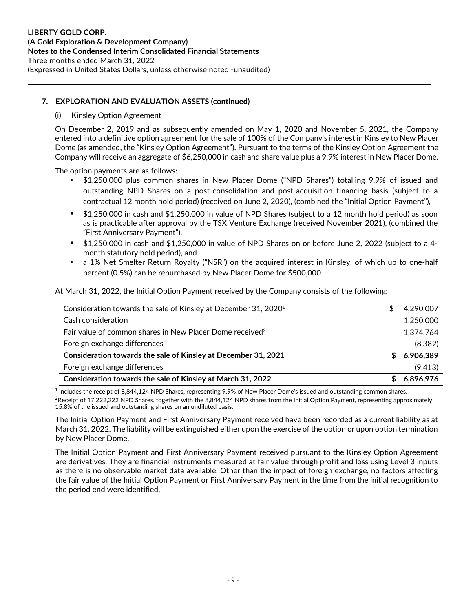# **7. EXPLORATION AND EVALUATION ASSETS (continued)**

#### (i) Kinsley Option Agreement

On December 2, 2019 and as subsequently amended on May 1, 2020 and November 5, 2021, the Company entered into a definitive option agreement for the sale of 100% of the Company's interest in Kinsley to New Placer Dome (as amended, the "Kinsley Option Agreement"). Pursuant to the terms of the Kinsley Option Agreement the Company will receive an aggregate of \$6,250,000 in cash and share value plus a 9.9% interest in New Placer Dome.

l.

The option payments are as follows:

- \$1,250,000 plus common shares in New Placer Dome ("NPD Shares") totalling 9.9% of issued and outstanding NPD Shares on a post-consolidation and post-acquisition financing basis (subject to a contractual 12 month hold period) (received on June 2, 2020), (combined the "Initial Option Payment"),
- \$1,250,000 in cash and \$1,250,000 in value of NPD Shares (subject to a 12 month hold period) as soon as is practicable after approval by the TSX Venture Exchange (received November 2021), (combined the "First Anniversary Payment"),
- \$1,250,000 in cash and \$1,250,000 in value of NPD Shares on or before June 2, 2022 (subject to a 4 month statutory hold period), and
- a 1% Net Smelter Return Royalty ("NSR") on the acquired interest in Kinsley, of which up to one-half percent (0.5%) can be repurchased by New Placer Dome for \$500,000.

At March 31, 2022, the Initial Option Payment received by the Company consists of the following:

| Consideration towards the sale of Kinsley at December 31, 2020 <sup>1</sup> | 4,290,007 |
|-----------------------------------------------------------------------------|-----------|
| Cash consideration                                                          | 1,250,000 |
| Fair value of common shares in New Placer Dome received <sup>2</sup>        | 1,374,764 |
| Foreign exchange differences                                                | (8, 382)  |
| Consideration towards the sale of Kinsley at December 31, 2021              | 6,906,389 |
| Foreign exchange differences                                                | (9, 413)  |
| Consideration towards the sale of Kinsley at March 31, 2022                 | 6,896,976 |

<sup>1</sup> Includes the receipt of 8,844,124 NPD Shares, representing 9.9% of New Placer Dome's issued and outstanding common shares.

<sup>2</sup>Receipt of 17.222.222 NPD Shares, together with the 8,844,124 NPD shares from the Initial Option Payment, representing approximately 15.8% of the issued and outstanding shares on an undiluted basis.

The Initial Option Payment and First Anniversary Payment received have been recorded as a current liability as at March 31, 2022. The liability will be extinguished either upon the exercise of the option or upon option termination by New Placer Dome.

The Initial Option Payment and First Anniversary Payment received pursuant to the Kinsley Option Agreement are derivatives. They are financial instruments measured at fair value through profit and loss using Level 3 inputs as there is no observable market data available. Other than the impact of foreign exchange, no factors affecting the fair value of the Initial Option Payment or First Anniversary Payment in the time from the initial recognition to the period end were identified.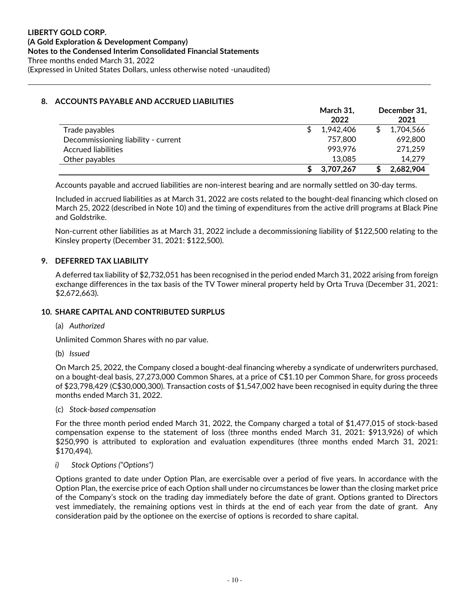# **8. ACCOUNTS PAYABLE AND ACCRUED LIABILITIES**

|                                     | March 31,<br>2022 | December 31,<br>2021 |
|-------------------------------------|-------------------|----------------------|
| Trade payables                      | 1.942.406         | 1,704,566            |
| Decommissioning liability - current | 757,800           | 692,800              |
| <b>Accrued liabilities</b>          | 993.976           | 271,259              |
| Other payables                      | 13,085            | 14.279               |
|                                     | 3.707.267         | 2,682,904            |

l.

Accounts payable and accrued liabilities are non-interest bearing and are normally settled on 30-day terms.

Included in accrued liabilities as at March 31, 2022 are costs related to the bought-deal financing which closed on March 25, 2022 (described in Note 10) and the timing of expenditures from the active drill programs at Black Pine and Goldstrike.

Non-current other liabilities as at March 31, 2022 include a decommissioning liability of \$122,500 relating to the Kinsley property (December 31, 2021: \$122,500).

# **9. DEFERRED TAX LIABILITY**

A deferred tax liability of \$2,732,051 has been recognised in the period ended March 31, 2022 arising from foreign exchange differences in the tax basis of the TV Tower mineral property held by Orta Truva (December 31, 2021: \$2,672,663).

#### **10. SHARE CAPITAL AND CONTRIBUTED SURPLUS**

#### (a) *Authorized*

Unlimited Common Shares with no par value.

(b) *Issued* 

On March 25, 2022, the Company closed a bought-deal financing whereby a syndicate of underwriters purchased, on a bought-deal basis, 27,273,000 Common Shares, at a price of C\$1.10 per Common Share, for gross proceeds of \$23,798,429 (C\$30,000,300). Transaction costs of \$1,547,002 have been recognised in equity during the three months ended March 31, 2022.

(c) *Stock-based compensation* 

For the three month period ended March 31, 2022, the Company charged a total of \$1,477,015 of stock-based compensation expense to the statement of loss (three months ended March 31, 2021: \$913,926) of which \$250,990 is attributed to exploration and evaluation expenditures (three months ended March 31, 2021: \$170,494).

#### *i) Stock Options ("Options")*

Options granted to date under Option Plan, are exercisable over a period of five years. In accordance with the Option Plan, the exercise price of each Option shall under no circumstances be lower than the closing market price of the Company's stock on the trading day immediately before the date of grant. Options granted to Directors vest immediately, the remaining options vest in thirds at the end of each year from the date of grant. Any consideration paid by the optionee on the exercise of options is recorded to share capital.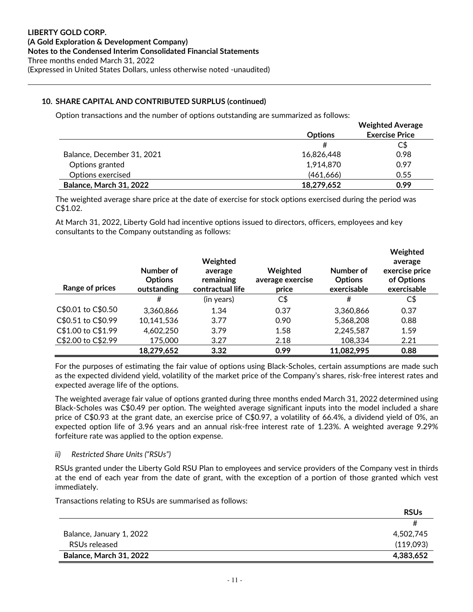# **10. SHARE CAPITAL AND CONTRIBUTED SURPLUS (continued)**

Option transactions and the number of options outstanding are summarized as follows:

|                            |                | <b>Weighted Average</b> |
|----------------------------|----------------|-------------------------|
|                            | <b>Options</b> | <b>Exercise Price</b>   |
|                            |                | C\$                     |
| Balance, December 31, 2021 | 16,826,448     | 0.98                    |
| Options granted            | 1,914,870      | 0.97                    |
| Options exercised          | (461, 666)     | 0.55                    |
| Balance, March 31, 2022    | 18,279,652     | 0.99                    |

l.

The weighted average share price at the date of exercise for stock options exercised during the period was C\$1.02.

At March 31, 2022, Liberty Gold had incentive options issued to directors, officers, employees and key consultants to the Company outstanding as follows:

| Range of prices    | Number of<br><b>Options</b><br>outstanding | Weighted<br>average<br>remaining<br>contractual life | Weighted<br>average exercise<br>price | Number of<br><b>Options</b><br>exercisable | Weighted<br>average<br>exercise price<br>of Options<br>exercisable |
|--------------------|--------------------------------------------|------------------------------------------------------|---------------------------------------|--------------------------------------------|--------------------------------------------------------------------|
|                    | #                                          | (in years)                                           | C\$                                   | #                                          | $C\$                                                               |
| C\$0.01 to C\$0.50 | 3,360,866                                  | 1.34                                                 | 0.37                                  | 3,360,866                                  | 0.37                                                               |
| C\$0.51 to C\$0.99 | 10,141,536                                 | 3.77                                                 | 0.90                                  | 5,368,208                                  | 0.88                                                               |
| C\$1.00 to C\$1.99 | 4,602,250                                  | 3.79                                                 | 1.58                                  | 2,245,587                                  | 1.59                                                               |
| C\$2.00 to C\$2.99 | 175,000                                    | 3.27                                                 | 2.18                                  | 108,334                                    | 2.21                                                               |
|                    | 18,279,652                                 | 3.32                                                 | 0.99                                  | 11,082,995                                 | 0.88                                                               |

For the purposes of estimating the fair value of options using Black-Scholes, certain assumptions are made such as the expected dividend yield, volatility of the market price of the Company's shares, risk-free interest rates and expected average life of the options.

The weighted average fair value of options granted during three months ended March 31, 2022 determined using Black-Scholes was C\$0.49 per option. The weighted average significant inputs into the model included a share price of C\$0.93 at the grant date, an exercise price of C\$0.97, a volatility of 66.4%, a dividend yield of 0%, an expected option life of 3.96 years and an annual risk-free interest rate of 1.23%. A weighted average 9.29% forfeiture rate was applied to the option expense.

#### *ii) Restricted Share Units ("RSUs")*

RSUs granted under the Liberty Gold RSU Plan to employees and service providers of the Company vest in thirds at the end of each year from the date of grant, with the exception of a portion of those granted which vest immediately.

Transactions relating to RSUs are summarised as follows:

|                          | <b>RSUs</b> |
|--------------------------|-------------|
|                          |             |
| Balance, January 1, 2022 | 4,502,745   |
| RSUs released            | (119,093)   |
| Balance, March 31, 2022  | 4,383,652   |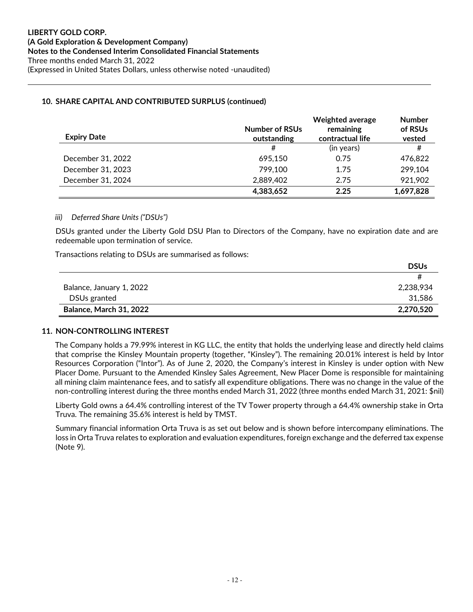### **10. SHARE CAPITAL AND CONTRIBUTED SURPLUS (continued)**

| <b>Expiry Date</b> | <b>Number of RSUs</b><br>outstanding | <b>Weighted average</b><br>remaining<br>contractual life | <b>Number</b><br>of RSUs<br>vested |
|--------------------|--------------------------------------|----------------------------------------------------------|------------------------------------|
|                    | #                                    | (in years)                                               | #                                  |
| December 31, 2022  | 695.150                              | 0.75                                                     | 476,822                            |
| December 31, 2023  | 799,100                              | 1.75                                                     | 299,104                            |
| December 31, 2024  | 2,889,402                            | 2.75                                                     | 921,902                            |
|                    | 4,383,652                            | 2.25                                                     | 1,697,828                          |

l.

#### *iii) Deferred Share Units ("DSUs")*

DSUs granted under the Liberty Gold DSU Plan to Directors of the Company, have no expiration date and are redeemable upon termination of service.

Transactions relating to DSUs are summarised as follows:

|                          | <b>DSUs</b> |
|--------------------------|-------------|
|                          |             |
| Balance, January 1, 2022 | 2,238,934   |
| DSUs granted             | 31.586      |
| Balance, March 31, 2022  | 2,270,520   |

#### **11. NON-CONTROLLING INTEREST**

The Company holds a 79.99% interest in KG LLC, the entity that holds the underlying lease and directly held claims that comprise the Kinsley Mountain property (together, "Kinsley"). The remaining 20.01% interest is held by Intor Resources Corporation ("Intor"). As of June 2, 2020, the Company's interest in Kinsley is under option with New Placer Dome. Pursuant to the Amended Kinsley Sales Agreement, New Placer Dome is responsible for maintaining all mining claim maintenance fees, and to satisfy all expenditure obligations. There was no change in the value of the non-controlling interest during the three months ended March 31, 2022 (three months ended March 31, 2021: \$nil)

Liberty Gold owns a 64.4% controlling interest of the TV Tower property through a 64.4% ownership stake in Orta Truva. The remaining 35.6% interest is held by TMST.

Summary financial information Orta Truva is as set out below and is shown before intercompany eliminations. The loss in Orta Truva relates to exploration and evaluation expenditures, foreign exchange and the deferred tax expense (Note 9).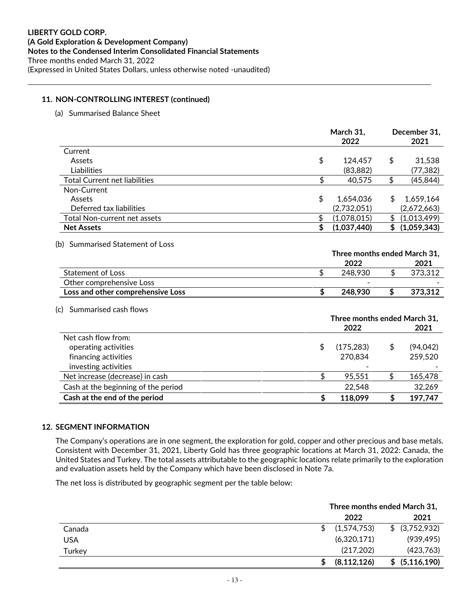#### **11. NON-CONTROLLING INTEREST (continued)**

(a) Summarised Balance Sheet

|                                      | March 31,<br>2022 |    | December 31,<br>2021 |
|--------------------------------------|-------------------|----|----------------------|
| Current                              |                   |    |                      |
| Assets                               | \$<br>124.457     | \$ | 31,538               |
| Liabilities                          | (83, 882)         |    | (77,382)             |
| <b>Total Current net liabilities</b> | 40,575            | \$ | (45, 844)            |
| Non-Current                          |                   |    |                      |
| Assets                               | \$<br>1.654.036   | \$ | 1,659,164            |
| Deferred tax liabilities             | (2,732,051)       |    | (2,672,663)          |
| <b>Total Non-current net assets</b>  | (1,078,015)       | S  | (1,013,499)          |
| <b>Net Assets</b>                    | (1,037,440)       | \$ | (1,059,343)          |
|                                      |                   |    |                      |

l.

#### (b) Summarised Statement of Loss

|                                   | Three months ended March 31, |  |         |  |
|-----------------------------------|------------------------------|--|---------|--|
|                                   | 2022                         |  | 2021    |  |
| Statement of Loss                 | 248.930                      |  | 373.312 |  |
| Other comprehensive Loss          |                              |  |         |  |
| Loss and other comprehensive Loss | 248,930                      |  | 373.312 |  |

#### (c) Summarised cash flows

|                                     | Three months ended March 31, |            |  |           |
|-------------------------------------|------------------------------|------------|--|-----------|
|                                     |                              | 2022       |  | 2021      |
| Net cash flow from:                 |                              |            |  |           |
| operating activities                |                              | (175, 283) |  | (94, 042) |
| financing activities                |                              | 270,834    |  | 259,520   |
| investing activities                |                              |            |  |           |
| Net increase (decrease) in cash     |                              | 95,551     |  | 165,478   |
| Cash at the beginning of the period |                              | 22,548     |  | 32,269    |
| Cash at the end of the period       |                              | 118,099    |  | 197,747   |

#### **12. SEGMENT INFORMATION**

The Company's operations are in one segment, the exploration for gold, copper and other precious and base metals. Consistent with December 31, 2021, Liberty Gold has three geographic locations at March 31, 2022: Canada, the United States and Turkey. The total assets attributable to the geographic locations relate primarily to the exploration and evaluation assets held by the Company which have been disclosed in Note 7a.

The net loss is distributed by geographic segment per the table below:

|            | Three months ended March 31,    |
|------------|---------------------------------|
|            | 2022<br>2021                    |
| Canada     | (1,574,753)<br>\$ (3,752,932)   |
| <b>USA</b> | (6,320,171)<br>(939, 495)       |
| Turkey     | (423,763)<br>(217, 202)         |
|            | \$ (5,116,190)<br>(8, 112, 126) |